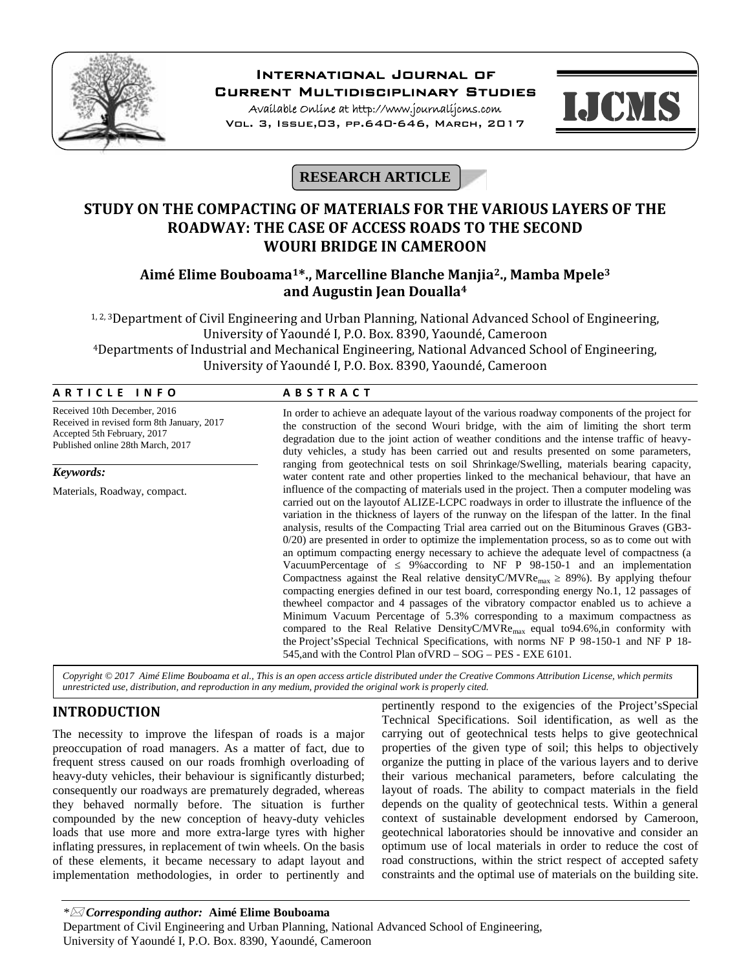

# **International Journal of**

**Current Multidisciplinary Studies**

**Available Online at http://www.journalijcms.com** Vol. 3, Issue,03, pp.640-646, March, 2017



**RESEARCH ARTICLE**

# **STUDY ON THE COMPACTING OF MATERIALS FOR THE VARIOUS LAYERS OF THE ROADWAY: THE CASE OF ACCESS ROADS TO THE SECOND WOURI BRIDGE IN CAMEROON**

## **Aimé Elime Bouboama1\*., Marcelline Blanche Manjia2., Mamba Mpele<sup>3</sup> and Augustin Jean Doualla<sup>4</sup>**

1, 2, 3Department of Civil Engineering and Urban Planning, National Advanced School of Engineering, University of Yaoundé I, P.O. Box. 8390, Yaoundé, Cameroon <sup>4</sup>Departments of Industrial and Mechanical Engineering, National Advanced School of Engineering, University of Yaoundé I, P.O. Box. 8390, Yaoundé, Cameroon **A R T I C L E I N F O**<br> **A B S T R A C T**<br>
Received 10th December, 2016

| ARTICLE INFO                                                                                                                                   | <b>ABSTRACT</b>                                                                                                                                                                                                                                                                                                                                                                                                                                                                                                                                                                                                                                                                                                                                                                                                                                                                                                                                                                                                                                                                                                                                                                                                                                                                                    |  |
|------------------------------------------------------------------------------------------------------------------------------------------------|----------------------------------------------------------------------------------------------------------------------------------------------------------------------------------------------------------------------------------------------------------------------------------------------------------------------------------------------------------------------------------------------------------------------------------------------------------------------------------------------------------------------------------------------------------------------------------------------------------------------------------------------------------------------------------------------------------------------------------------------------------------------------------------------------------------------------------------------------------------------------------------------------------------------------------------------------------------------------------------------------------------------------------------------------------------------------------------------------------------------------------------------------------------------------------------------------------------------------------------------------------------------------------------------------|--|
| Received 10th December, 2016<br>Received in revised form 8th January, 2017<br>Accepted 5th February, 2017<br>Published online 28th March, 2017 | In order to achieve an adequate layout of the various roadway components of the project for<br>the construction of the second Wouri bridge, with the aim of limiting the short term<br>degradation due to the joint action of weather conditions and the intense traffic of heavy-<br>duty vehicles, a study has been carried out and results presented on some parameters,<br>ranging from geotechnical tests on soil Shrinkage/Swelling, materials bearing capacity,<br>water content rate and other properties linked to the mechanical behaviour, that have an                                                                                                                                                                                                                                                                                                                                                                                                                                                                                                                                                                                                                                                                                                                                 |  |
| Keywords:                                                                                                                                      |                                                                                                                                                                                                                                                                                                                                                                                                                                                                                                                                                                                                                                                                                                                                                                                                                                                                                                                                                                                                                                                                                                                                                                                                                                                                                                    |  |
| Materials, Roadway, compact.                                                                                                                   | influence of the compacting of materials used in the project. Then a computer modeling was<br>carried out on the layoutof ALIZE-LCPC roadways in order to illustrate the influence of the<br>variation in the thickness of layers of the runway on the lifespan of the latter. In the final<br>analysis, results of the Compacting Trial area carried out on the Bituminous Graves (GB3-<br>$0/20$ ) are presented in order to optimize the implementation process, so as to come out with<br>an optimum compacting energy necessary to achieve the adequate level of compactness (a<br>9% according to NF P 98-150-1 and an implementation<br>VacuumPercentage of<br>Compactness against the Real relative density C/MVRe <sub>max</sub> 89%). By applying the four<br>compacting energies defined in our test board, corresponding energy No.1, 12 passages of<br>thewheel compactor and 4 passages of the vibratory compactor enabled us to achieve a<br>Minimum Vacuum Percentage of 5.3% corresponding to a maximum compactness as<br>compared to the Real Relative DensityC/MVRe <sub>max</sub> equal to 94.6%, in conformity with<br>the Project's Special Technical Specifications, with norms NF P 98-150-1 and NF P 18-<br>545, and with the Control Plan of VRD – SOG – PES - EXE 6101. |  |

*Copyright © 2017 Aimé Elime Bouboama et al., This is an open access article distributed under the Creative Commons Attribution License, which permits unrestricted use, distribution, and reproduction in any medium, provided the original work is properly cited.*

# **INTRODUCTION**

The necessity to improve the lifespan of roads is a major preoccupation of road managers. As a matter of fact, due to frequent stress caused on our roads fromhigh overloading of heavy-duty vehicles, their behaviour is significantly disturbed; consequently our roadways are prematurely degraded, whereas they behaved normally before. The situation is further compounded by the new conception of heavy-duty vehicles loads that use more and more extra-large tyres with higher inflating pressures, in replacement of twin wheels. On the basis of these elements, it became necessary to adapt layout and implementation methodologies, in order to pertinently and

pertinently respond to the exigencies of the Project'sSpecial Technical Specifications. Soil identification, as well as the carrying out of geotechnical tests helps to give geotechnical properties of the given type of soil; this helps to objectively organize the putting in place of the various layers and to derive their various mechanical parameters, before calculating the layout of roads. The ability to compact materials in the field depends on the quality of geotechnical tests. Within a general context of sustainable development endorsed by Cameroon, geotechnical laboratories should be innovative and consider an optimum use of local materials in order to reduce the cost of road constructions, within the strict respect of accepted safety constraints and the optimal use of materials on the building site.

*\* Corresponding author:* **Aimé Elime Bouboama**

Department of Civil Engineering and Urban Planning, National Advanced School of Engineering, University of Yaoundé I, P.O. Box. 8390, Yaoundé, Cameroon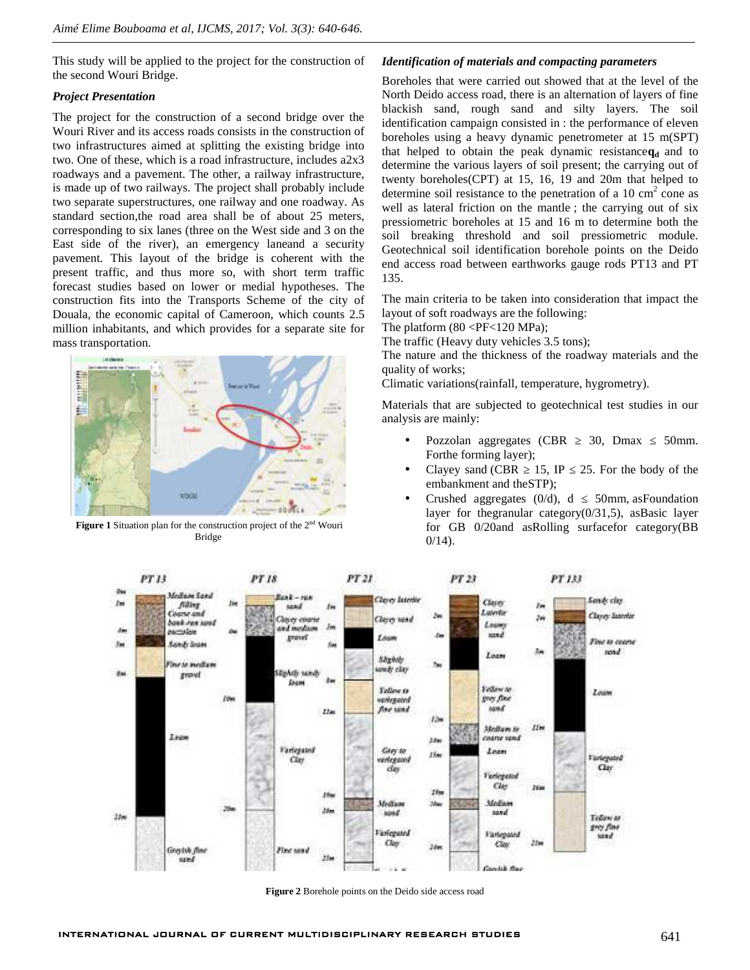This study will be applied to the project for the construction of the second Wouri Bridge.

### *Project Presentation*

The project for the construction of a second bridge over the Wouri River and its access roads consists in the construction of two infrastructures aimed at splitting the existing bridge into two. One of these, which is a road infrastructure, includes a2x3 roadways and a pavement. The other, a railway infrastructure, is made up of two railways. The project shall probably include two separate superstructures, one railway and one roadway. As standard section,the road area shall be of about 25 meters, corresponding to six lanes (three on the West side and 3 on the East side of the river), an emergency laneand a security pavement. This layout of the bridge is coherent with the present traffic, and thus more so, with short term traffic forecast studies based on lower or medial hypotheses. The construction fits into the Transports Scheme of the city of Douala, the economic capital of Cameroon, which counts 2.5 million inhabitants, and which provides for a separate site for mass transportation.



**Figure 1** Situation plan for the construction project of the 2nd Wouri Bridge

### *Identification of materials and compacting parameters*

Boreholes that were carried out showed that at the level of the North Deido access road, there is an alternation of layers of fine blackish sand, rough sand and silty layers. The soil identification campaign consisted in : the performance of eleven boreholes using a heavy dynamic penetrometer at 15 m(SPT) that helped to obtain the peak dynamic resistance $q_d$  and to determine the various layers of soil present; the carrying out of twenty boreholes(CPT) at 15, 16, 19 and 20m that helped to determine soil resistance to the penetration of a  $10 \text{ cm}^2$  cone as well as lateral friction on the mantle ; the carrying out of six pressiometric boreholes at 15 and 16 m to determine both the soil breaking threshold and soil pressiometric module. Geotechnical soil identification borehole points on the Deido end access road between earthworks gauge rods PT13 and PT 135.

The main criteria to be taken into consideration that impact the layout of soft roadways are the following:

The platform  $(80 \leq PF \leq 120 \text{ MPa})$ ;

The traffic (Heavy duty vehicles 3.5 tons);

The nature and the thickness of the roadway materials and the quality of works;

Climatic variations(rainfall, temperature, hygrometry).

Materials that are subjected to geotechnical test studies in our analysis are mainly:

- Pozzolan aggregates (CBR 30, Dmax 50mm. Forthe forming layer);
- Clayey sand (CBR  $\quad$  15, IP  $\quad$  25. For the body of the embankment and theSTP);
- Crushed aggregates  $(0/d)$ , d 50mm, as Foundation layer for the granular category $(0/31,5)$ , as Basic layer for GB 0/20and asRolling surfacefor category(BB  $0/14$ ).



**Figure 2** Borehole points on the Deido side access road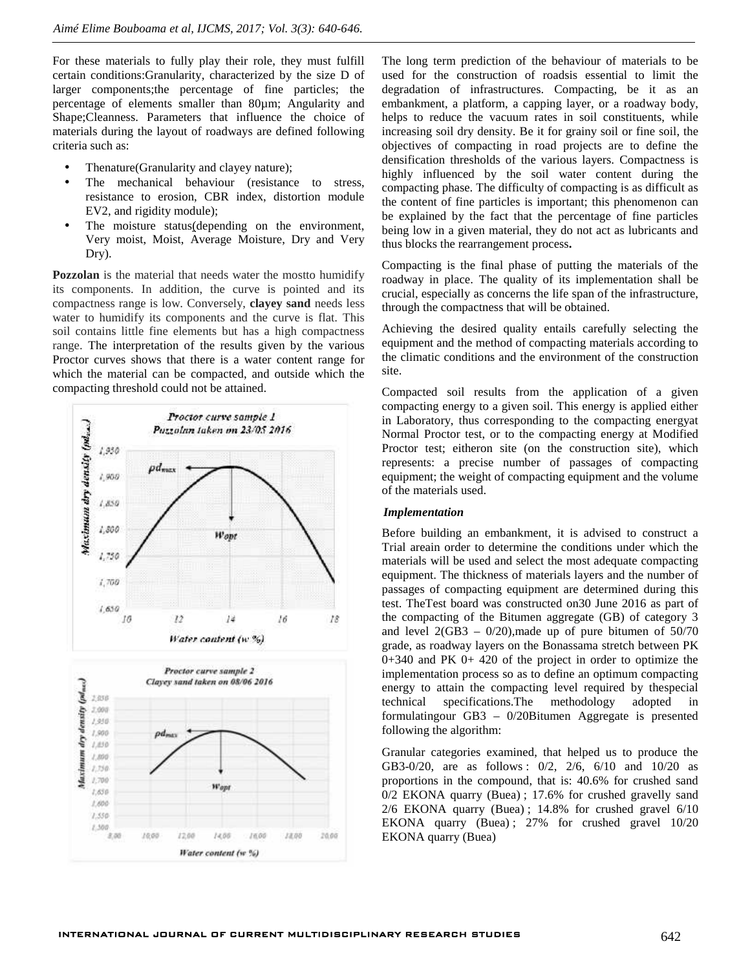For these materials to fully play their role, they must fulfill certain conditions:Granularity, characterized by the size D of larger components;the percentage of fine particles; the percentage of elements smaller than 80µm; Angularity and Shape;Cleanness. Parameters that influence the choice of materials during the layout of roadways are defined following criteria such as:

- Thenature(Granularity and clayey nature);
- The mechanical behaviour (resistance to stress, resistance to erosion, CBR index, distortion module EV2, and rigidity module);
- The moisture status(depending on the environment, Very moist, Moist, Average Moisture, Dry and Very Dry).

**Pozzolan** is the material that needs water the mostto humidify its components. In addition, the curve is pointed and its compactness range is low. Conversely, **clayey sand** needs less water to humidify its components and the curve is flat. This soil contains little fine elements but has a high compactness range. The interpretation of the results given by the various Proctor curves shows that there is a water content range for which the material can be compacted, and outside which the compacting threshold could not be attained.



The long term prediction of the behaviour of materials to be used for the construction of roadsis essential to limit the degradation of infrastructures. Compacting, be it as an embankment, a platform, a capping layer, or a roadway body, helps to reduce the vacuum rates in soil constituents, while increasing soil dry density. Be it for grainy soil or fine soil, the objectives of compacting in road projects are to define the densification thresholds of the various layers. Compactness is highly influenced by the soil water content during the compacting phase. The difficulty of compacting is as difficult as the content of fine particles is important; this phenomenon can be explained by the fact that the percentage of fine particles being low in a given material, they do not act as lubricants and thus blocks the rearrangement process**.**

Compacting is the final phase of putting the materials of the roadway in place. The quality of its implementation shall be crucial, especially as concerns the life span of the infrastructure, through the compactness that will be obtained.

Achieving the desired quality entails carefully selecting the equipment and the method of compacting materials according to the climatic conditions and the environment of the construction site.

Compacted soil results from the application of a given compacting energy to a given soil. This energy is applied either in Laboratory, thus corresponding to the compacting energyat Normal Proctor test, or to the compacting energy at Modified Proctor test; eitheron site (on the construction site), which represents: a precise number of passages of compacting equipment; the weight of compacting equipment and the volume of the materials used.

#### *Implementation*

Before building an embankment, it is advised to construct a Trial areain order to determine the conditions under which the materials will be used and select the most adequate compacting equipment. The thickness of materials layers and the number of passages of compacting equipment are determined during this test. TheTest board was constructed on30 June 2016 as part of the compacting of the Bitumen aggregate (GB) of category 3 and level  $2(GB3 - 0/20)$ , made up of pure bitumen of  $50/70$ grade, as roadway layers on the Bonassama stretch between PK 0+340 and PK 0+ 420 of the project in order to optimize the implementation process so as to define an optimum compacting energy to attain the compacting level required by thespecial technical specifications.The methodology adopted in formulatingour GB3 – 0/20Bitumen Aggregate is presented following the algorithm:

Granular categories examined, that helped us to produce the GB3-0/20, are as follows : 0/2, 2/6, 6/10 and 10/20 as proportions in the compound, that is: 40.6% for crushed sand 0/2 EKONA quarry (Buea) ; 17.6% for crushed gravelly sand 2/6 EKONA quarry (Buea) ; 14.8% for crushed gravel 6/10 EKONA quarry (Buea) ; 27% for crushed gravel 10/20 EKONA quarry (Buea)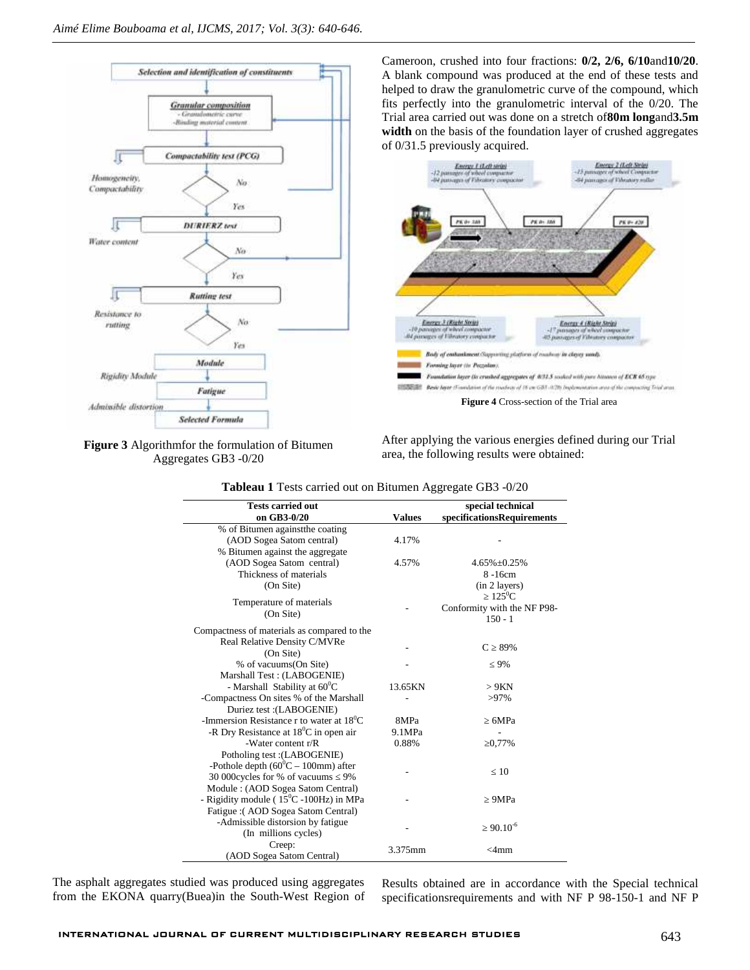



Cameroon, crushed into four fractions: **0/2, 2/6, 6/10**and**10/20**. A blank compound was produced at the end of these tests and helped to draw the granulometric curve of the compound, which fits perfectly into the granulometric interval of the 0/20. The Trial area carried out was done on a stretch of**80m long**and**3.5m width** on the basis of the foundation layer of crushed aggregates of 0/31.5 previously acquired.



After applying the various energies defined during our Trial area, the following results were obtained:

| <b>Tests carried out</b>                           |               | special technical           |
|----------------------------------------------------|---------------|-----------------------------|
| on GB3-0/20                                        | <b>Values</b> | specificationsRequirements  |
| % of Bitumen against the coating                   |               |                             |
| (AOD Sogea Satom central)                          | 4.17%         |                             |
| % Bitumen against the aggregate                    |               |                             |
| (AOD Sogea Satom central)                          | 4.57%         | $4.65\% \pm 0.25\%$         |
| Thickness of materials                             |               | $8 - 16$ cm                 |
| (On Site)                                          |               | (in 2 layers)               |
|                                                    |               | $125^0C$                    |
| Temperature of materials                           |               | Conformity with the NF P98- |
| (On Site)                                          |               | $150 - 1$                   |
| Compactness of materials as compared to the        |               |                             |
| Real Relative Density C/MVRe                       |               |                             |
| (On Site)                                          |               | 89%<br>C                    |
| % of vacuums(On Site)                              |               | 9%                          |
| Marshall Test: (LABOGENIE)                         |               |                             |
| - Marshall Stability at $60^{\circ}$ C             | 13.65KN       | >9KN                        |
| -Compactness On sites % of the Marshall            |               | $>97\%$                     |
| Duriez test : (LABOGENIE)                          |               |                             |
| -Immersion Resistance r to water at $18^{\circ}$ C | 8MPa          | 6MPa                        |
| -R Dry Resistance at 18 <sup>0</sup> C in open air | 9.1MPa        |                             |
| -Water content $r/R$                               | 0.88%         | 0,77%                       |
| Potholing test: (LABOGENIE)                        |               |                             |
| -Pothole depth $(60^{\circ}C - 100$ mm) after      |               |                             |
| 30 000cycles for % of vacuums 9%                   |               | 10                          |
| Module: (AOD Sogea Satom Central)                  |               |                             |
| - Rigidity module ( $15^{\circ}$ C -100Hz) in MPa  |               | 9MPa                        |
| Fatigue: (AOD Sogea Satom Central)                 |               |                             |
| -Admissible distorsion by fatigue                  |               |                             |
| (In millions cycles)                               |               | $90.10^{-6}$                |
| Creep:                                             |               |                             |
| (AOD Sogea Satom Central)                          | 3.375mm       | $<$ 4mm                     |
|                                                    |               |                             |

**Tableau 1** Tests carried out on Bitumen Aggregate GB3 -0/20

The asphalt aggregates studied was produced using aggregates from the EKONA quarry(Buea)in the South-West Region of Results obtained are in accordance with the Special technical specificationsrequirements and with NF P 98-150-1 and NF P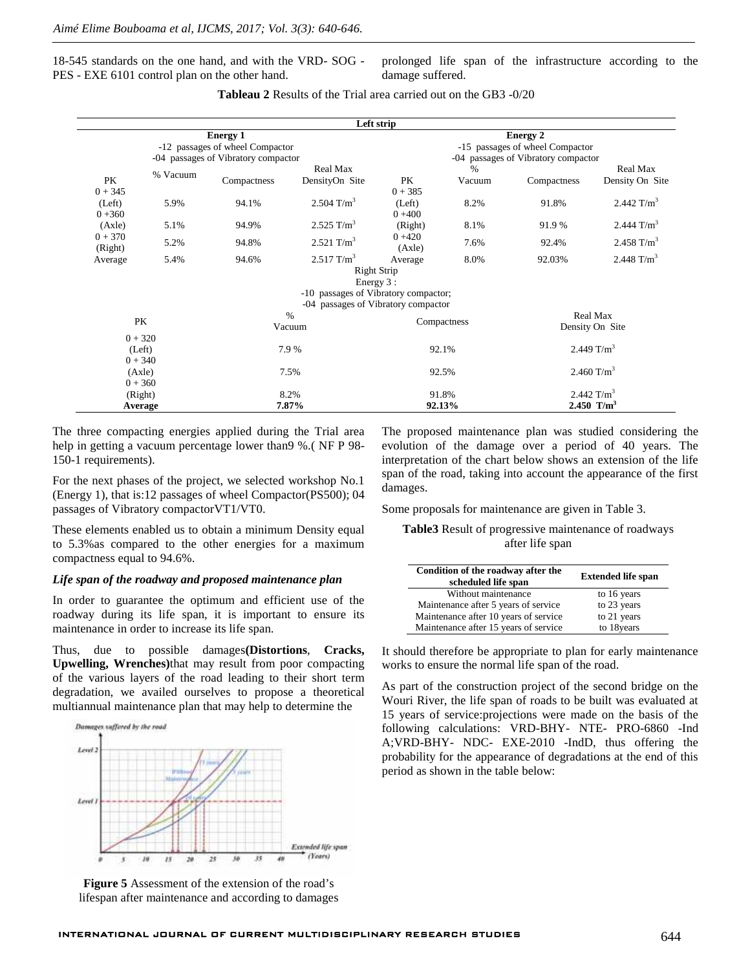18-545 standards on the one hand, and with the VRD- SOG - PES - EXE 6101 control plan on the other hand.

prolonged life span of the infrastructure according to the damage suffered.

|                                     |               |                                   | Left strip                           |                                 |                             |               |                        |  |
|-------------------------------------|---------------|-----------------------------------|--------------------------------------|---------------------------------|-----------------------------|---------------|------------------------|--|
| <b>Energy 1</b>                     |               |                                   |                                      | <b>Energy 2</b>                 |                             |               |                        |  |
| -12 passages of wheel Compactor     |               |                                   |                                      | -15 passages of wheel Compactor |                             |               |                        |  |
| -04 passages of Vibratory compactor |               |                                   | -04 passages of Vibratory compactor  |                                 |                             |               |                        |  |
|                                     | % Vacuum      |                                   | Real Max                             |                                 | $\frac{0}{0}$               |               | Real Max               |  |
| PK                                  |               | Compactness                       | DensityOn Site                       | PK                              | Vacuum                      | Compactness   | Density On Site        |  |
| $0 + 345$                           |               |                                   |                                      | $0 + 385$                       |                             |               |                        |  |
| (Left)                              | 5.9%<br>94.1% |                                   | 2.504 $T/m^3$                        | (Left)                          | 8.2%                        | 91.8%         | 2.442 $T/m^3$          |  |
| $0 + 360$                           |               |                                   |                                      | $0 + 400$                       |                             |               |                        |  |
| (Axle)                              | 5.1%          | $2.525$ T/m <sup>3</sup><br>94.9% |                                      | (Right)                         | 8.1%                        | 91.9 %        | 2.444 $T/m^3$          |  |
| $0 + 370$                           | 5.2%          | 94.8%                             | 2.521 $T/m^3$                        | $0 + 420$                       | 7.6%                        | 92.4%         | 2.458 T/m <sup>3</sup> |  |
| (Right)                             |               |                                   |                                      | (Axle)                          |                             |               |                        |  |
| Average                             | 5.4%          | 94.6%                             | $2.517$ T/m <sup>3</sup>             | Average                         | 8.0%                        | 92.03%        | 2.448 $T/m^3$          |  |
|                                     |               |                                   | Right Strip                          |                                 |                             |               |                        |  |
|                                     |               |                                   | Energy 3 :                           |                                 |                             |               |                        |  |
|                                     |               |                                   | -10 passages of Vibratory compactor; |                                 |                             |               |                        |  |
|                                     |               |                                   | -04 passages of Vibratory compactor  |                                 |                             |               |                        |  |
| $\%$<br>PK<br>Vacuum                |               |                                   | Compactness                          |                                 | Real Max<br>Density On Site |               |                        |  |
|                                     |               |                                   |                                      |                                 |                             |               |                        |  |
|                                     | $0 + 320$     |                                   |                                      |                                 |                             |               |                        |  |
| (Left)                              |               | 7.9 %                             | 92.1%                                |                                 | 2.449 $T/m^3$               |               |                        |  |
|                                     | $0 + 340$     |                                   |                                      |                                 |                             |               |                        |  |
| (Axle)                              |               |                                   | 7.5%                                 |                                 | 92.5%                       |               | 2.460 T/m <sup>3</sup> |  |
|                                     | $0 + 360$     |                                   |                                      |                                 |                             |               |                        |  |
| 8.2%<br>(Right)                     |               |                                   | 91.8%                                |                                 |                             | 2.442 $T/m^3$ |                        |  |
| 7.87%<br>Average                    |               |                                   | 2.450 $T/m^3$<br>92.13%              |                                 |                             |               |                        |  |

**Tableau 2** Results of the Trial area carried out on the GB3 -0/20

The three compacting energies applied during the Trial area help in getting a vacuum percentage lower than 9%. (NF P 98-150-1 requirements).

For the next phases of the project, we selected workshop No.1 (Energy 1), that is:12 passages of wheel Compactor(PS500); 04 passages of Vibratory compactorVT1/VT0.

These elements enabled us to obtain a minimum Density equal to 5.3%as compared to the other energies for a maximum compactness equal to 94.6%.

#### *Life span of the roadway and proposed maintenance plan*

In order to guarantee the optimum and efficient use of the roadway during its life span, it is important to ensure its maintenance in order to increase its life span.

Thus, due to possible damages**(Distortions**, **Cracks, Upwelling, Wrenches)**that may result from poor compacting of the various layers of the road leading to their short term degradation, we availed ourselves to propose a theoretical multiannual maintenance plan that may help to determine the



**Figure 5** Assessment of the extension of the road's lifespan after maintenance and according to damages The proposed maintenance plan was studied considering the evolution of the damage over a period of 40 years. The interpretation of the chart below shows an extension of the life span of the road, taking into account the appearance of the first damages.

Some proposals for maintenance are given in Table 3.

**Table3** Result of progressive maintenance of roadways after life span

| Condition of the roadway after the<br>scheduled life span | <b>Extended life span</b> |
|-----------------------------------------------------------|---------------------------|
| Without maintenance                                       | to 16 years               |
| Maintenance after 5 years of service                      | to 23 years               |
| Maintenance after 10 years of service                     | to 21 years               |
| Maintenance after 15 years of service                     | to 18years                |

It should therefore be appropriate to plan for early maintenance works to ensure the normal life span of the road.

As part of the construction project of the second bridge on the Wouri River, the life span of roads to be built was evaluated at 15 years of service:projections were made on the basis of the following calculations: VRD-BHY- NTE- PRO-6860 -Ind A;VRD-BHY- NDC- EXE-2010 -IndD, thus offering the probability for the appearance of degradations at the end of this period as shown in the table below: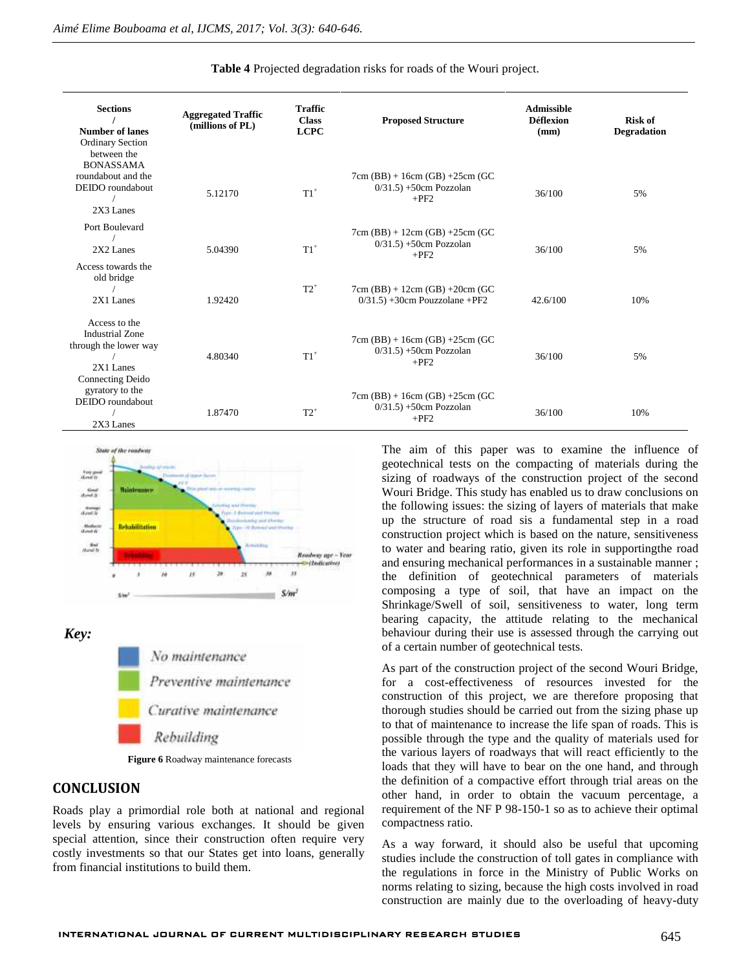| <b>Sections</b><br><b>Number of lanes</b><br><b>Ordinary Section</b><br>between the                 | <b>Aggregated Traffic</b><br>(millions of PL) | <b>Traffic</b><br><b>Class</b><br><b>LCPC</b> | <b>Proposed Structure</b>                                              | <b>Admissible</b><br><b>Déflexion</b><br>(mm) | <b>Risk of</b><br><b>Degradation</b> |
|-----------------------------------------------------------------------------------------------------|-----------------------------------------------|-----------------------------------------------|------------------------------------------------------------------------|-----------------------------------------------|--------------------------------------|
| <b>BONASSAMA</b><br>roundabout and the<br>DEIDO roundabout<br>2X3 Lanes                             | 5.12170                                       | $T1^+$                                        | $7cm(BB) + 16cm(GB) + 25cm(GC)$<br>$0/31.5$ ) +50cm Pozzolan<br>$+PF2$ | 36/100                                        | 5%                                   |
| Port Boulevard<br>2X2 Lanes                                                                         | 5.04390                                       | $T1$ <sup>+</sup>                             | $7cm(BB) + 12cm(GB) + 25cm(GC)$<br>$0/31.5$ ) +50cm Pozzolan<br>$+PF2$ | 36/100                                        | 5%                                   |
| Access towards the<br>old bridge<br>2X1 Lanes                                                       | 1.92420                                       | $T2^+$                                        | $7cm(BB) + 12cm(GB) + 20cm(GC)$<br>$0/31.5$ ) +30cm Pouzzolane +PF2    | 42.6/100                                      | 10%                                  |
| Access to the<br><b>Industrial Zone</b><br>through the lower way<br>$2X1$ Lanes<br>Connecting Deido | 4.80340                                       | $T1^+$                                        | $7cm(BB) + 16cm(GB) + 25cm(GC)$<br>$0/31.5$ ) +50cm Pozzolan<br>$+PF2$ | 36/100                                        | 5%                                   |
| gyratory to the<br>DEIDO roundabout<br>2X3 Lanes                                                    | 1.87470                                       | $T2^+$                                        | $7cm(BB) + 16cm(GB) + 25cm(GC)$<br>$0/31.5$ ) +50cm Pozzolan<br>$+PF2$ | 36/100                                        | 10%                                  |

#### **Table 4** Projected degradation risks for roads of the Wouri project.



*Key:* No maintenance Preventive maintenance Curative maintenance Rebuilding

**Figure 6** Roadway maintenance forecasts

### **CONCLUSION**

Roads play a primordial role both at national and regional levels by ensuring various exchanges. It should be given special attention, since their construction often require very costly investments so that our States get into loans, generally from financial institutions to build them.

The aim of this paper was to examine the influence of geotechnical tests on the compacting of materials during the sizing of roadways of the construction project of the second Wouri Bridge. This study has enabled us to draw conclusions on the following issues: the sizing of layers of materials that make up the structure of road sis a fundamental step in a road construction project which is based on the nature, sensitiveness to water and bearing ratio, given its role in supportingthe road and ensuring mechanical performances in a sustainable manner ; the definition of geotechnical parameters of materials composing a type of soil, that have an impact on the Shrinkage/Swell of soil, sensitiveness to water, long term bearing capacity, the attitude relating to the mechanical behaviour during their use is assessed through the carrying out of a certain number of geotechnical tests.

As part of the construction project of the second Wouri Bridge, for a cost-effectiveness of resources invested for the construction of this project, we are therefore proposing that thorough studies should be carried out from the sizing phase up to that of maintenance to increase the life span of roads. This is possible through the type and the quality of materials used for the various layers of roadways that will react efficiently to the loads that they will have to bear on the one hand, and through the definition of a compactive effort through trial areas on the other hand, in order to obtain the vacuum percentage, a requirement of the NF P 98-150-1 so as to achieve their optimal compactness ratio.

As a way forward, it should also be useful that upcoming studies include the construction of toll gates in compliance with the regulations in force in the Ministry of Public Works on norms relating to sizing, because the high costs involved in road construction are mainly due to the overloading of heavy-duty